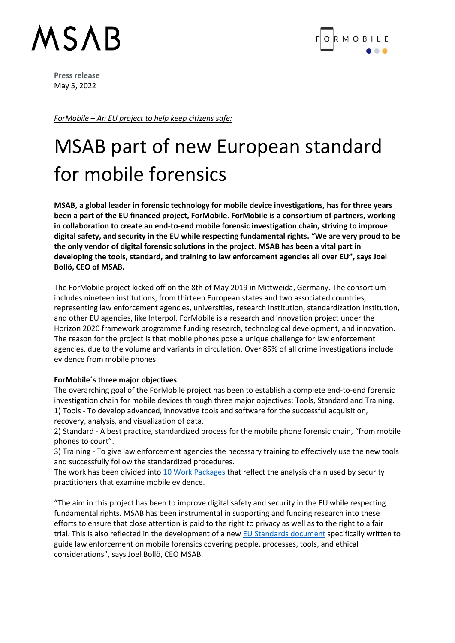## MSAB



**Press release** May 5, 2022

*ForMobile – An EU project to help keep citizens safe:*

### MSAB part of new European standard for mobile forensics

**MSAB, a global leader in forensic technology for mobile device investigations, has for three years been a part of the EU financed project, ForMobile. ForMobile is a consortium of partners, working in collaboration to create an end-to-end mobile forensic investigation chain, striving to improve digital safety, and security in the EU while respecting fundamental rights. "We are very proud to be the only vendor of digital forensic solutions in the project. MSAB has been a vital part in developing the tools, standard, and training to law enforcement agencies all over EU", says Joel Bollö, CEO of MSAB.**

The ForMobile project kicked off on the 8th of May 2019 in Mittweida, Germany. The consortium includes nineteen institutions, from thirteen European states and two associated countries, representing law enforcement agencies, universities, research institution, standardization institution, and other EU agencies, like Interpol. ForMobile is a research and innovation project under the Horizon 2020 framework programme funding research, technological development, and innovation. The reason for the project is that mobile phones pose a unique challenge for law enforcement agencies, due to the volume and variants in circulation. Over 85% of all crime investigations include evidence from mobile phones.

#### **ForMobile´s three major objectives**

The overarching goal of the ForMobile project has been to establish a complete end-to-end forensic investigation chain for mobile devices through three major objectives: Tools, Standard and Training. 1) Tools - To develop advanced, innovative tools and software for the successful acquisition, recovery, analysis, and visualization of data.

2) Standard - A best practice, standardized process for the mobile phone forensic chain, "from mobile phones to court".

3) Training - To give law enforcement agencies the necessary training to effectively use the new tools and successfully follow the standardized procedures.

The work has been divided into 10 Work Packages that reflect the analysis chain used by security practitioners that examine mobile evidence.

"The aim in this project has been to improve digital safety and security in the EU while respecting fundamental rights. MSAB has been instrumental in supporting and funding research into these efforts to ensure that close attention is paid to the right to privacy as well as to the right to a fair trial. This is also reflected in the development of a new EU Standards document specifically written to guide law enforcement on mobile forensics covering people, processes, tools, and ethical considerations", says Joel Bollö, CEO MSAB.